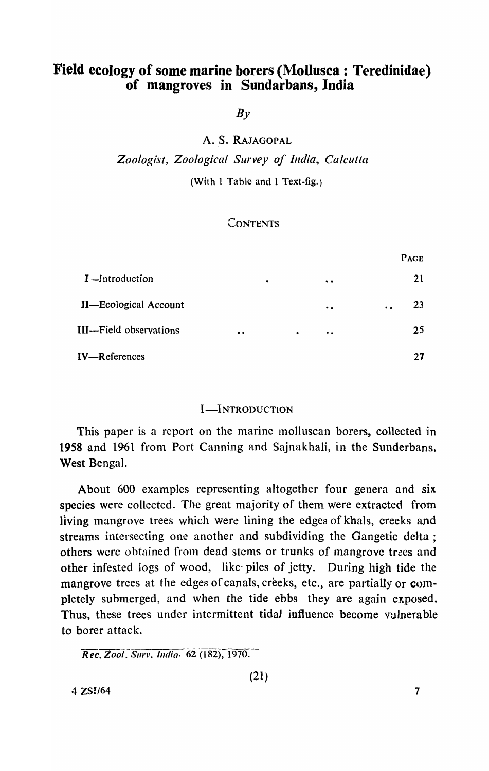# Field ecology of some marine borers (Mollusca: Teredinidae) of mangroves in Sundarbans, India

 $By$ 

A. S. RAJAGOPAL

*Zoologist, Zoological Survey oj'India, Calcutta* 

(With 1 Table and 1 Text-fig.)

# **CONTENTS**

|                              |           |           |           |                     | PAGE            |
|------------------------------|-----------|-----------|-----------|---------------------|-----------------|
| $I$ -Introduction            |           | $\bullet$ |           | $\bullet\bullet$    | 21              |
| <b>II—Ecological Account</b> |           |           |           | $\bullet$           | 23<br>$\bullet$ |
| III—Field observations       | $\bullet$ |           | $\bullet$ | $\bullet$ $\bullet$ | 25              |
| IV-References                |           |           |           |                     | 27              |

# I-INTRODUCTION

This paper is a report on the marine molluscan borers, collected in 1958 and 1961 from Port Canning and Sajnakhali, in the Sunderbans, West Bengal.

About 600 examples representing altogether four genera and six species were collected. The great majority of them were extracted from living mangrove trees which were lining the edges of khals, creeks and streams intersecting one another and subdividing the Gangetic delta; others were obtained from dead stems or trunks of mangrove trees and other infested logs of wood, like· piles of jetty. During high tide the mangrove trees at the edges of canals, creeks, etc., are partially or completely submerged, and when the tide ebbs they are again exposed. Thus, these trees under intermittent tidal influence become vulnerable to borer attack.

*Rec. Zool. Surv. India.* 62 (182), 1970.

(21)

 $4 \text{ ZSI}/64$   $7$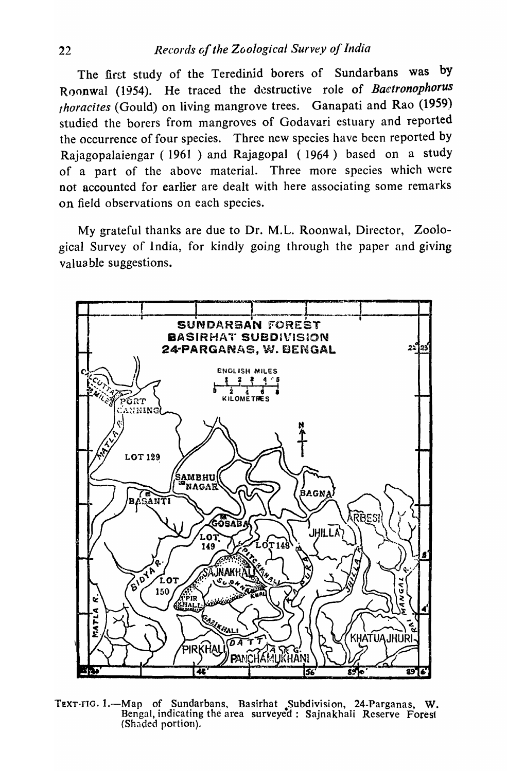The first study of the Teredinid borers of Sundarbans was by Roonwal (1954). He traced the destructive role of *Baetronophorus fhoracites* (Gould) on living mangrove trees. Ganapati and Rao (1959) studied the borers from mangroves of Godavari estuary and reported the occurrence of four species. Three new species have been reported by Rajagopalaiengar ( 1961 ) and Rajagopal (1964) based on a study of a part of the above material. Three more species which were not accounted for earlier are dealt with here associating some remarks on field observations on each species.

My grateful thanks are due to Dr. M.L. Roonwal, Director, Zoological Survey of India, for kindly going through the paper and giving valuable suggestions.



TEXT-FIG. 1.-Map of Sundarbans, Basirhat Subdivision, 24-Parganas, W. Bengal, indicating the area surveyed: Sajnakhali Reserve Forest (Shaded portion).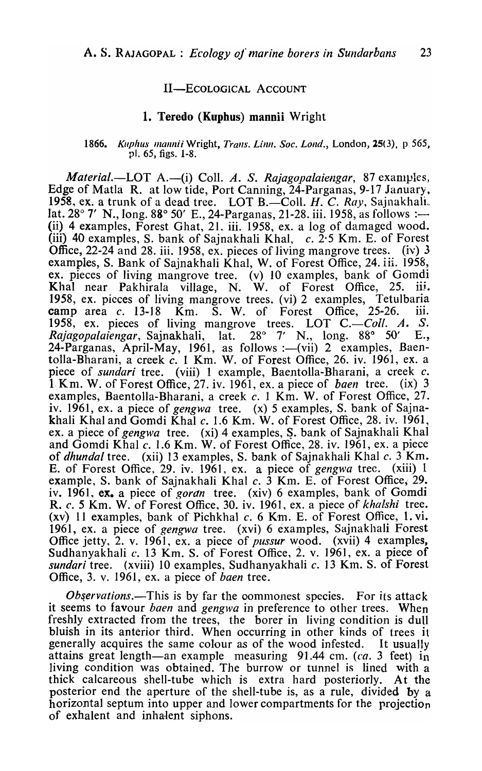## II-ECOLOGICAL ACCOUNT

## 1. Teredo (Kupbus) mannii Wright

#### 1866. *Kuphus mannii* Wright, *Trans. Linn. Soc. Lond.*, London, 25(3), p 565, pI. 65, figs. 1-8.

*Material.*—LOT A.—(i) Coll. A. S. *Rajagopalaiengar*, 87 examples, Edge of Matla R. at low tide, Port Canning, 24-Parganas, 9-17 January, 1958, ex. a trunk of a dead tree. LOT B.-Coll. *H. C. Ray*, Sajnakhali. lat.  $28^{\circ}$  7' N., long.  $88^{\circ}$  50' E., 24-Parganas, 21-28. iii. 1958, as follows :— (ii) 4 examples, Forest Ghat, 21. iii. 1958, ex. a log of damaged wood. (iii) 40 examples, S. bank of Sajnakhali Khal,  $c.$   $2.5$  Km. E. of Forest Office, 22-24 and 28. iii. 1958, ex. pieces of living mangrove trees. (iv) 3 examples, S. Bank of Sajnakhali Khal, W. of Forest Office, 24. iii. 1958, ex. pieces of living mangrove tree. (v) 10 examples, bank of Gomdi Khal near Pakhirala village, N. W. of Forest Office, 25. iii. 1958, ex. pieces of living mangrove trees. (vi) 2 examples, Tetulbaria camp area  $c$ . 13-18 Km. S. W. of Forest Office, 25-26. iii. 1958, ex. pieces of living mangrove trees. LOT C.—*Coll. A. S.*<br>*Rajagopalaiengar*, Sajnakhali, lat. 28° 7′ N., long. 88° 50′ E., *Rajagopalaiengar, Sajnakhali, lat.* 24-Parganas, April-May, 1961, as follows :- (vii) 2 examples, Baentolla-Bharani, a creek  $c$ . 1 Km. W. of Forest Office, 26. iv. 1961, ex. a piece of *sundari* tree. (viii) 1 example, Baentolla-Bharani, a creek c. 1. Knl. W. of Forest Office, 27. iv. 1961, ex. a piece of *baen* tree. (ix) 3 examples, Baentolla-Bharani, a creek c. 1 Km. W. of Forest Office, 27. iVa 1961, ex. a piece of *gengwa* tree. (x) 5 examples, S. bank of Sajnakhali Khal and Gomdi Khal c. 1.6 Km. W. of Forest Office, 28. iv. 1961, ex. a piece of *gengwa* tree. (xi) 4 examples, S. bank of Sajnakhali Khal and Gomdi Khal *c.* 1.6 Km. W. of Forest Office, 28. iv. 1961, ex. a piece of *dhundal* tree. (xii) 13 examples, S. bank of Sajnakhali Khal c. 3 Km. E. of Forest Office, 29. iv. 1961, ex. a piece of *gengwa* tree. (xiii) 1 example, S. bank of Sajnakhali Khal  $c$ . 3 Km. E. of Forest Office, 29. iv. 1961, ex. a piece of *gordn* tree. (xiv) 6 examples, bank of Gomdi R. *c.* 5 Km. W. of Forest Office, 30. iv. 1961, ex. a piece of *khalshi* tree. (xv) 11 examples, bank of Pichkhal *c.* 6 Km. E. of Forest Office, 1. vi. 1961, ex. a piece of *gengwa* tree. (xvi) 6 examples, Sajnakhali Forest Office jetty, 2. v. 1961, ex. a piece of *pussur* wood. (xvii) 4 examples, Sudhanyakhali  $c$ . 13 Km. S. of Forest Office, 2. v. 1961, ex. a piece of *sundari* tree. (xviii) 10 examples, Sudhanyakhali c. 13 Km. S. of Forest Office, 3. V. 1961, ex. a piece of *baen* tree.

*Observations.*—This is by far the commonest species. For its attack it seems to favour *baen* and *gengwa* in preference to other trees. When freshly extracted from the trees, the borer in living condition is dull bluish in its anterior third. When occurring in other kinds of trees it generally acquires the same colour as of the wood infested. It usually attains great length—an example measuring 91.44 cm. (ca. 3 feet) in living condition was obtained. The burrow or tunnel is lined with a thick calcareous shell-tube which is extra hard posteriorly. At the posterior end the aperture of the shell-tube is, as a rule, divided by a horizontal septum into upper and lower compartments for the projection of exhalent and inhalent siphons.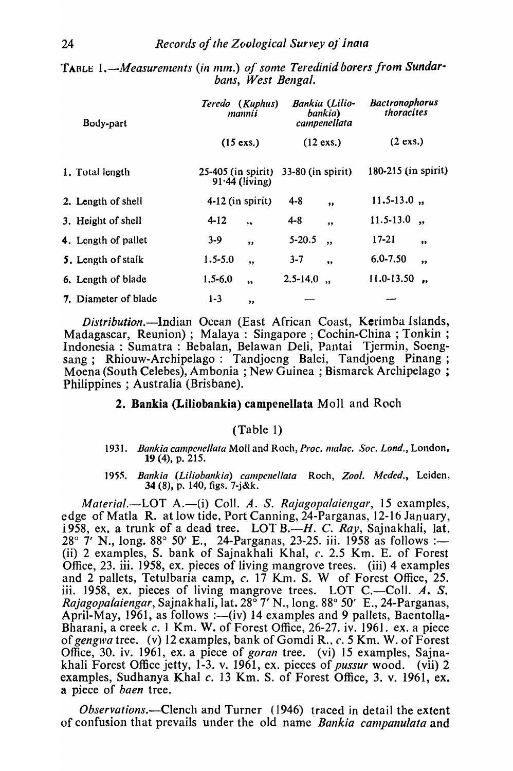| TABLE $1.$ —Measurements (in mm.) of some Teredinid borers from Sundar- |
|-------------------------------------------------------------------------|
| bans, West Bengal.                                                      |

| Body-part            | Teredo (Kuphus)<br>mannii              | Bankia (Lilio-<br>bankia)<br>campenellata | <b>Bactronophorus</b><br>thoracites |
|----------------------|----------------------------------------|-------------------------------------------|-------------------------------------|
|                      | $(15 \text{ exs.})$                    | $(12 \text{ exs.})$                       | $(2 \text{ exs.})$                  |
| 1. Total length      | 25-405 (in spirit)<br>$91.44$ (living) | $33-80$ (in spirit)                       | 180-215 (in spirit)                 |
| 2. Length of shell   | $4-12$ (in spirit)                     | $4 - 8$<br>$\bullet$                      | $11.5 - 13.0$ ,                     |
| 3. Height of shell   | $4 - 12$<br>$\ddot{\bullet}$           | $4 - 8$<br>$\bullet$                      | $11.5 - 13.0$<br>$\bullet$          |
| 4. Longth of pallet  | $3 - 9$<br>,                           | $5 - 20.5$<br>$\ddot{\phantom{a}}$        | $17 - 21$<br>$\bullet$              |
| 5. Length of stalk   | $1.5 - 5.0$<br>,                       | $3 - 7$<br>$^{\bullet}$                   | $6.0 - 7.50$<br>$^{\bullet}$        |
| 6. Length of blade   | $1.5 - 6.0$<br>$\overline{\mathbf{z}}$ | $2.5 - 14.0$                              | 11.0-13.50<br>$\bullet$             |
| 7. Diameter of blade | $1 - 3$<br>,                           |                                           |                                     |

*Distribution*.—Indian Ocean (East African Coast, Kerimba Islands, Madagascar, Reunion); Malaya: Singapore; Cochin-China; Tonkin;<br>Indonesia: Sumatra: Bebalan, Belawan Deli, Pantai Tjermin, Soengsang; Rhiouw-Archipelago: Tandjoeng Balei, Tandjoeng Pinang; Moena (South Celebes), Ambonia; New Guinea; Bismarck Archipelago; Philippines; Australia (Brisbane).

# 2. Bankia (Liliobankia) campenellata Moll and Roch

# $(Table 1)$

- 1931. Bankia campenellata Moll and Roch, Proc. malac. Soc. Lond., London, 19 (4), p. 215.
- 1955. Bankia (Liliobankia) campenellata Roch, Zool. Meded., Leiden, 34 (8), p. 140, figs.  $7 - j \&k$ .

Material.—LOT A.—(i) Coll. A. S. Rajagopalaiengar, 15 examples, edge of Matla R. at low tide, Port Canning, 24-Parganas, 12-16 January, 1958, ex. a trunk of a dead tree. LOT B.— $H$ . C. Ray, Sajnakhali, lat. 28° 7' N., long. 88° 50' E., 24-Parganas, 23-25. iii. 1958 as follows :-(ii) 2 examples, S. bank of Sajnakhali Khal, c. 2.5 Km. E. of Forest Office, 23. iii. 1958, ex. pieces of living mangrove trees. (iii) 4 examples and 2 pallets, Tetulbaria camp, c. 17 Km. S. W of Forest Office, 25. iii. 1958, ex. pieces of living mangrove trees. LOT C.—Coll. A. S.<br>Rajagopalaiengar, Sajnakhali, lat. 28° 7' N., long. 88° 50' E., 24-Parganas, April-May, 1961, as follows :—(iv) 14 examples and 9 pallets, Baentolla-Bharani, a creek c. 1 Km. W. of Forest Office, 26-27. iv. 1961. ex. a piece of gengwa tree. (v) 12 examples, bank of Gomdi R., c. 5 Km. W. of Forest Office, 30. iv. 1961, ex. a piece of goran tree. (vi) 15 examples, Sajnakhali Forest Office jetty, 1-3. v. 1961, ex. pieces of *pussur* wood. (vii) 2 examples, Sudhanya Khal c. 13 Km. S. of Forest Office, 3. v. 1961, ex. a piece of *baen* tree.

*Observations.*—Clench and Turner (1946) traced in detail the extent of confusion that prevails under the old name *Bankia campanulata* and

24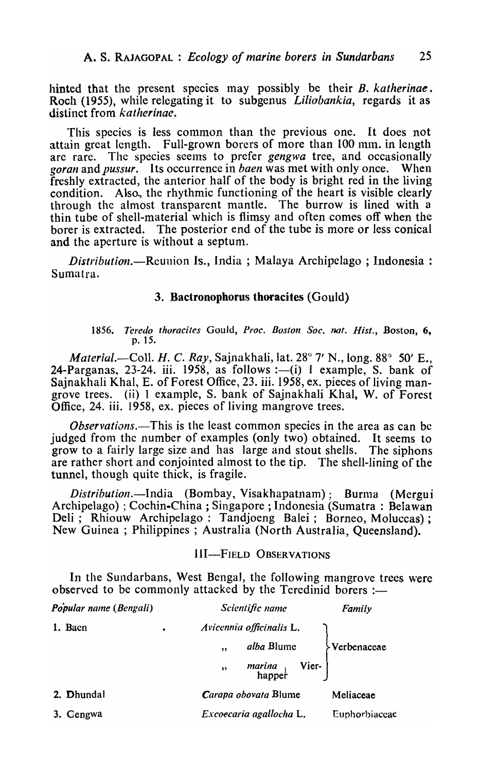hinted that the present species may possibly be their B. *katherinae*. Roeh (1955), while relegating it to subgenus *Liliobankia,* regards it as distinct from *katherinae ..* 

This species is less common than the previous one. It does not attain great length. Full-grown borers of more than 100 mm. in length are rarc. The species seelns to prefer *gengwa* tree, and occasionally goran and *pussur.* Its occurrence in *baen* was met with only once. When freshly extracted, the anterior half of the body is bright red in the living condition. Also., the rhythmic functioning of the heart is visible clearly through the almost transparent mantle. The burrow is lined with a thin tube of shell-material which is flimsy and often comes off when the borer is extracted. The posterior end of the tube is more or less conical and the aperture is without a septum.

*Distribution.*—Reunion Is., India; Malaya Archipelago; Indonesia: Sumatra.

#### 3. Bactronophorus thoracites (Gould)

#### 1856. Teredo thoracites Gould, Proc. Boston Soc. nat. Hist., Boston, 6, p.15.

*Material.*—Coll. *H. C. Ray*, Sajnakhali, lat. 28° 7' N., long. 88° 50' E., 24-Parganas, 23-24. iii. 1958, as follows :--(i) 1 example, S. bank of Sainakhali Khal, E. of Forest Office, 23. iii. 1958, ex. pieces of living mangrove trees. (ii) 1 example, S. bank of Sajnakhali Khal, W. of Forest Office, 24. iii. 1958, ex. pieces of living mangrove trees.

*Observations.*—This is the least common species in the area as can be judged from the number of examples (only two) obtained. It seems to grow to a fairly large size and has large and stout shells. The siphons are rather short and conjointed ahnost to the tip. The shell-lining of the tunnel, though quite thick, is fragile.

*Distribution.*—India (Bombay, Visakhapatnam); Burma (Mergui Archipelago) ; Cochin-China ; Singapore; Indonesia (Sumatra: Belawan Deli; Rhiouw Archipelago: Tandjoeng Balei; Borneo, Moluccas); New Guinea; Philippines; Australia (North Australia, Queensland).

## III-FIELD OBSERVATIONS

In the Sundarbans, West Bengal, the following mangrove trees were observed to be commonly attacked by the Teredinid borers  $:$ 

| Popular name (Bengali) |   | Scientific name                    | Family        |
|------------------------|---|------------------------------------|---------------|
| 1. Baen                | ٠ | Avicennia officinalis L.           |               |
|                        |   | alba Blume<br>,                    | Yerbenaceae   |
|                        |   | <i>marina</i> Vier-<br>happer<br>, |               |
| 2. Dhundal             |   | Carapa obovata Blume               | Meliaceae     |
| 3. Gengwa              |   | Excoecaria agallocha L.            | Euphorbiaceae |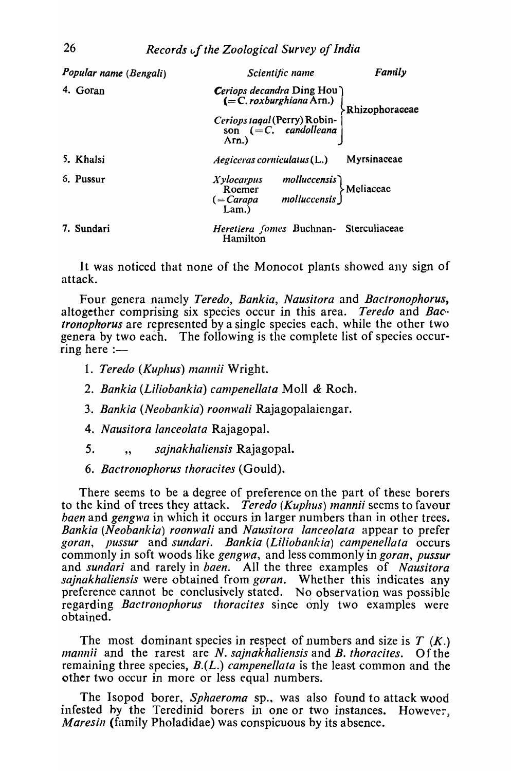| Popular name (Bengali) | Scientific name                                                                                                                         | Family           |
|------------------------|-----------------------------------------------------------------------------------------------------------------------------------------|------------------|
| 4. Goran               | <i>Ceriops decandra</i> Ding Hou<br>$(=C. roxburghiana Arn.)$<br>Ceriops tagal (Perry) Robinson $(=C.$ candolleana<br>Arn.)<br>$Arn.$ ) | > Rhizophoraceae |
| 5. Khalsi              | $A$ egiceras corniculatus $(L)$                                                                                                         | Myrsinaceae      |
| 5. Pussur              | molluccensis<br>molluccensis )<br>molluccensis )<br>Xylocarpus<br>Roemer<br>$( = Carapa$<br>Lam.)                                       |                  |
| 7. Sundari             | Heretiera fomes Buchnan- Sterculiaceae<br>Hamilton                                                                                      |                  |

It was noticed that none of the Monocot plants showed any sign of attack.

Four genera namely Teredo, Bankia, Nausitora and Bactronophorus, altogether comprising six species occur in this area. *Teredo* and *Bac* tronophorus are represented by a single species each, while the other two genera by two each. The following is the complete list of species occur $ring here :=$ 

- 1. Teredo (Kuphus) mannii Wright.
- 2. Bankia (Liliobankia) campenellata Moll & Roch.
- 3. Bankia (Neobankia) roonwali Rajagopalaiengar.
- 4. Nausitora lanceolata Rajagopal.
- 5. sajnakhaliensis Rajagopal.  $\ddot{\phantom{0}}$
- 6. Bactronophorus thoracites (Gould).

There seems to be a degree of preference on the part of these borers to the kind of trees they attack. Teredo (Kuphus) mannii seems to favour *baen* and *gengwa* in which it occurs in larger numbers than in other trees. Bankia (Neobankia) roonwali and Nausitora lanceolata appear to prefer goran, pussur and sundari. Bankia (Liliobankia) campenellata occurs commonly in soft woods like gengwa, and less commonly in goran, pussur and sundari and rarely in baen. All the three examples of Nausitora *sajnakhaliensis* were obtained from *goran*. Whether this indicates any preference cannot be conclusively stated. No observation was possible regarding *Bactronophorus thoracites* since only two examples were obtained.

The most dominant species in respect of numbers and size is  $T(K)$ . *mannii* and the rarest are *N. sajnakhaliensis* and *B. thoracites.* Of the remaining three species,  $B(L)$  campenellata is the least common and the other two occur in more or less equal numbers.

The Isopod borer, Sphaeroma sp., was also found to attack wood infested by the Teredinid borers in one or two instances. However, *Maresin* (family Pholadidae) was conspicuous by its absence.

26